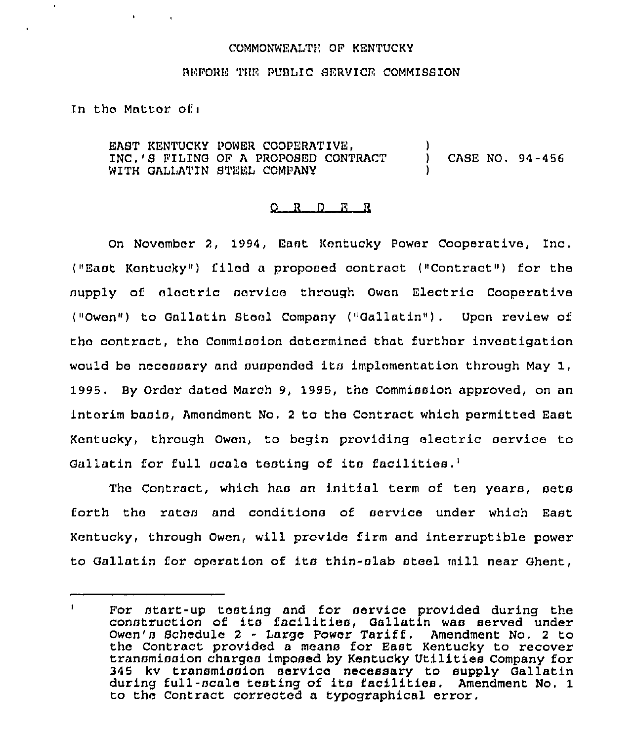### COMMONWEALTH OP KENTUCKY

#### BEFORE THE PUBLIC SERVICE COMMISSION

In tho Mattor. of <sup>i</sup>

EAST KENTUCKY POWER COOPERATIVE, (2009)<br>TNC.'S FILING OF A PROPOSED CONTRACT (2009) INC.'S FILING OF A PROPOSED CONTRACT ) CASE NO. 94-456 WITH GALLATIN STEEL COMPANY

### Q R D E R

On November 2, 1994, Sant Kentucky Power Cooperative, Inc. ("East Kentucky") filed a proposed contract ("Contract" ) for the supply of electric service through Owen Electric Cooperative ("Owon") to Gallatin Stool Company ("Gallatin"). Upon review of the contract, the Commission determined that further investigation would be nocoaoary and auapondod its implementation through May 1, 1995. By Order dated March 9, 1995, the Commission approved, on an interim basis, Amendment No. <sup>2</sup> to tho Contract which permitted East Kentucky, through Owon, to begin providing electric service to Gallatin for full scale testing of its facilities.<sup>1</sup>

The Contract, which has an initial term of ten years, sets forth tho rates and conditions of service under which East Kentucky, through Owen, will provide firm and interruptible power to Gallatin for operation of ita thin-slab steel mill near Ghent,

 $\mathbf{I}$ Por start-up testing and for service provided during the construction of its facilities, Gallatin was served under Owen's Schedule <sup>2</sup> - Large Power Tariff. Amendment No. <sup>2</sup> to the Contract provided a means for East Kentucky to recover transmission charges imposed by Kentucky Utilities Company for 345 kv transmission service necessary to supply Gallatin during full-scale testing of ita facilities, Amendment No, 1 to the Contract corrected a typographical error.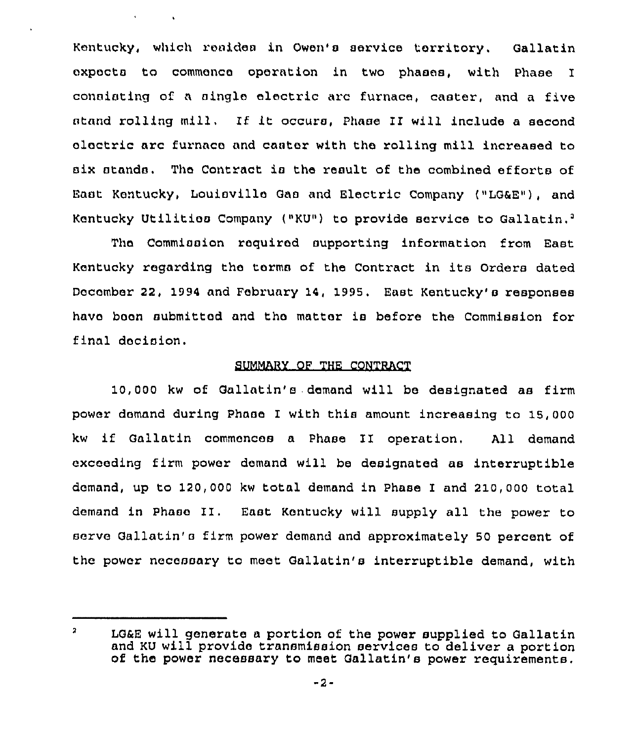Kentucky, which resides in Owen's service territory. Gallatin expects to commence operation in two phases, with Phase I consisting of a singlo electric arc furnace, caster, and a five stand rolling mill, If It occurs, Phase II will include <sup>a</sup> second aloctric arc furnace and castor with the rolling mill increased to six stands. The Contract is the result of the combined efforts of East Kontucky, Louisville Gao and Electric Company ("LGaE"), and Kentucky Utilitios Company ("KU") to provide service to Gallatin,<sup>2</sup>

 $\delta$  and  $\delta$  and  $\delta$  . And

The Commission required supporting information from East Kentucky regarding tho torms of the Contract in its Orders dated December 22, 1994 and February 14, 1995. East Kentucky's responses have boon submitted and tho matter is before the Commission for final decision.

## SUMMARY OF THE CONTRACT

10,000 kw of Gallatin's demand will be designated as firm power domand during Phase I with this amount increasing tc 15,000 kw if Gallatin commoncos <sup>a</sup> Phase II operation, All demand exceeding firm power demand will be designated as interruptible domand, up to 120,000 kw total demand in Phase I and 210,000 total demand in Phaso II. East Kentucky will supply all the power to servo Gallatin'e firm power demand and approximately 50 percent of the power necessary to meet Gallatin's interruptible demand, with

 $\mathbf{a}$ LGaE will generate a portion of the power supplied to Gallatin and KU will provide transmission services to deliver a portion of the power necessary to meet Gallatin's power requirements.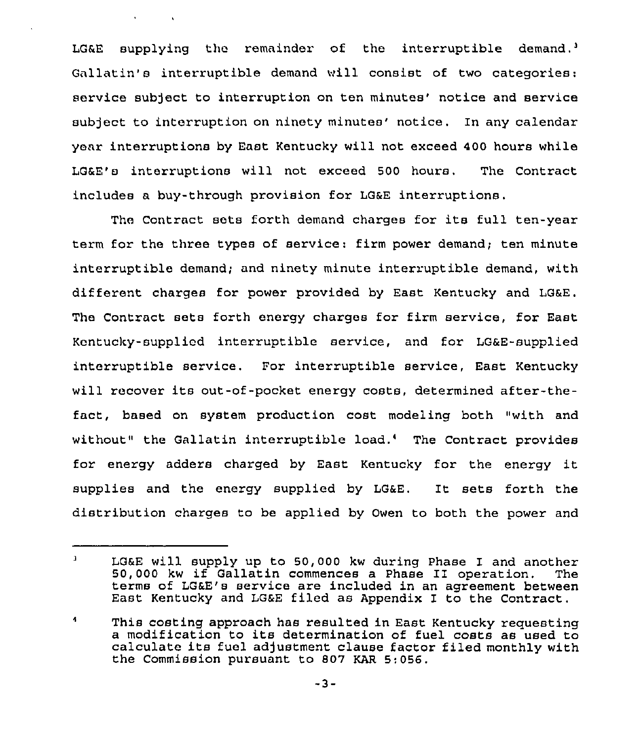LG&E supplying the remainder of the interruptible demand.<sup>3</sup> Gallatin's interruptible demand will consist of two categories: service subject to interruption on ten minutes' notice and service subject to interruption on ninety minutes' notice. In any calendar yoar interruptions by East Kentucky will not exceed 400 hours while LG&E's interruptions will not exceed 500 hours, The Contract includes a buy-through provision for LG&E interruptions.

 $\mathbf{v} = \mathbf{v} \times \mathbf{v}$  .  $\mathbf{v} = \mathbf{v}$ 

The Contract sets forth demand charges for its full ten-year term for the three types of service: firm power demand; ten minute interruptible demand; and ninety minute interruptible demand, with different charges for power provided by East Kentucky and LG&E. The Contract seta forth energy charges for firm service, for East Kentucky-supplied interruptible service, and for LG&E-supplied interruptible service. For interruptible service, East Kentucky will recover its out-of-pocket energy costs, determined after-thefact, based on system production cost modeling both "with and without" the Gallatin interruptible load.' The Contract provides for energy adders charged by East Kentucky for the energy it supplies and the energy supplied by LG&E. It sets forth the distribution charges to be applied by Owen to both the power and

 $\mathbf{I}$ LG&E will supply up to 50,000 kw during Phase I and another 50,000 kw if Gallatin commences a Phase II operation. terms of LG&E's service are included in an agreement between East Kentucky and LG&E filed as Appendix I to the Contract.

<sup>4</sup> This costing approach has resulted in East Kentucky requesting<br>a modification to its determination of fuel costs as used to calculate its fuel adjustment clause factor filed monthly with the Commission pursuant to 807 KAR 5; 056.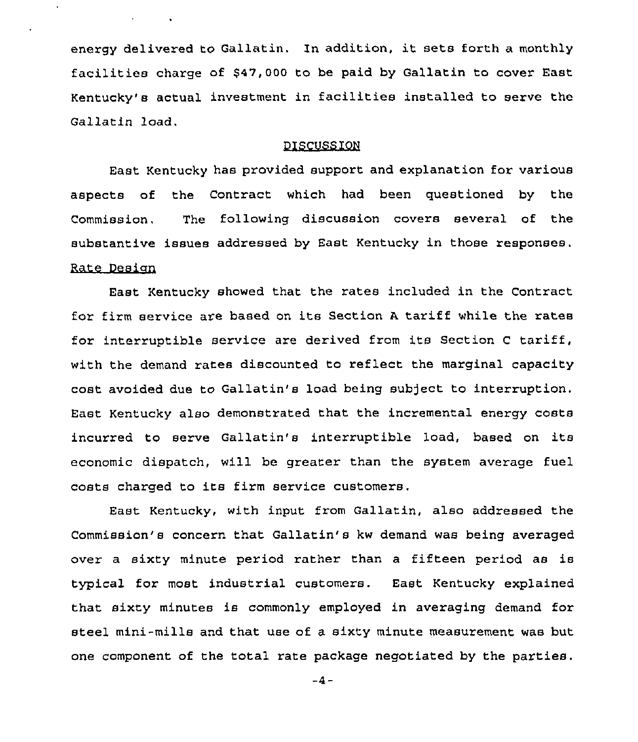energy delivered to Gallatin. ln addition, it sets forth <sup>a</sup> monthly facilities charge of \$47,000 to be paid by Gallatin to cover East Kentucky's actual investment in facilities installed to serve the Gallatin load.

# DISCUSSION

East Kentucky has provided support and explanation for various aspects of the Contract which had been questioned by the Commission, The following discussion covers several of the substantive issues addressed by East Kentucky in those responses. Rate Desian

East Kentucky showed that the rates included in the Contract for firm service are based on its Section A tariff while the rates for interruptible service are derived from its Section <sup>C</sup> tariff, with the demand rates discounted to reflect the marginal capacity cost avoided due to Gallatin's load being subject to interruption. East Kentucky also demonstrated that the incremental energy costs incurred to serve Gallatin's interruptible load, based on its economic dispatch, will be greater than the system average fuel costs charged to its firm service customers.

East Kentucky, with input from Gallatin, also addressed the Commission's concern that Gallatin's kw demand was being averaged over a sixty minute period rather than a fifteen period as is typical for most industrial customers. East Kentucky explained that sixty minutes is commonly employed in averaging demand for steel mini-mills and that use of a sixty minute measurement was but one component of the total rate package negotiated by the parties.

 $-4-$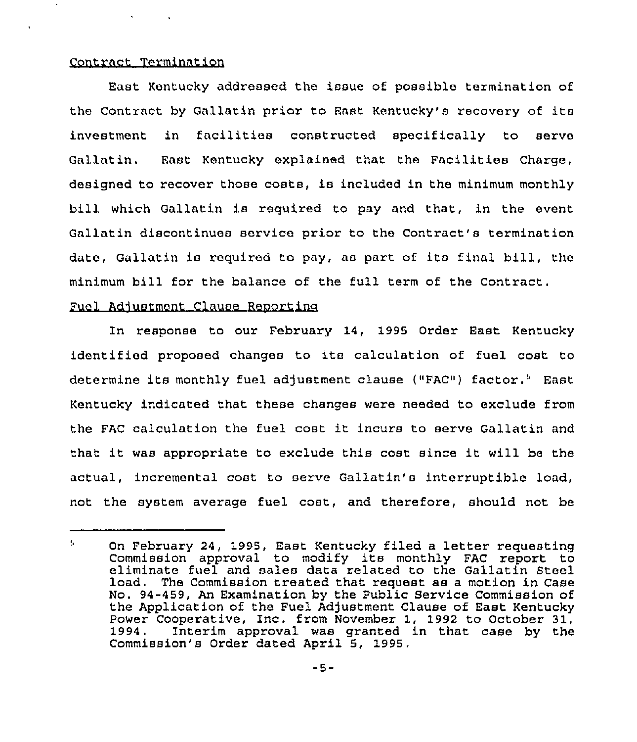# Contract Termination

East Kentucky addressed the issue of possible termination of the Contract by Gallatin prior to East Kentucky's recovery of its investment in facilities constructed specifically to serve Gallatin. East Kentucky explained that the Facilities Charge, designed to recover those costs, is included in the minimum monthly bill which Gallatin is required to pay and that, in the event Gallatin discontinues service prior to the Contract's termination date, Gallatin is required to pay, as part of its final bill, the minimum bill for the balance of the full term of the Contract.

# Fuel Adjustment Clause Reporting

In response to our February 14, 1995 Order East Kentucky identified proposed changes to its calculation of fuel cost to determine its monthly fuel adjustment clause ("FAC") factor." East Kentucky indicated that these changes were needed to exclude from the FAC calculation the fuel cost it incurs to serve Gallatin and that it was appropriate to exclude this cost since it will be the actual, incremental cost to serve Gallatin's interruptible load, not the system average fuel cost, and therefore, should not be

<sup>51</sup> On February 24, 1995, East Kentucky filed a letter requesting Commission approval to modify its monthly FAC report to eliminate fuel and sales data related to the Gallatin Steel load. The Commission treated that request as a motion in Case No. 94-459, An Examination by the Public Service Commission of the Application of the Fuel Adjustment Clause of East Kentucky Power Cooperative, Inc. from November 1, 1992 to October 31,<br>1994. Interim approval was granted in that case by the Interim approval was granted in that case by the Commission's Order dated April 5, 1995.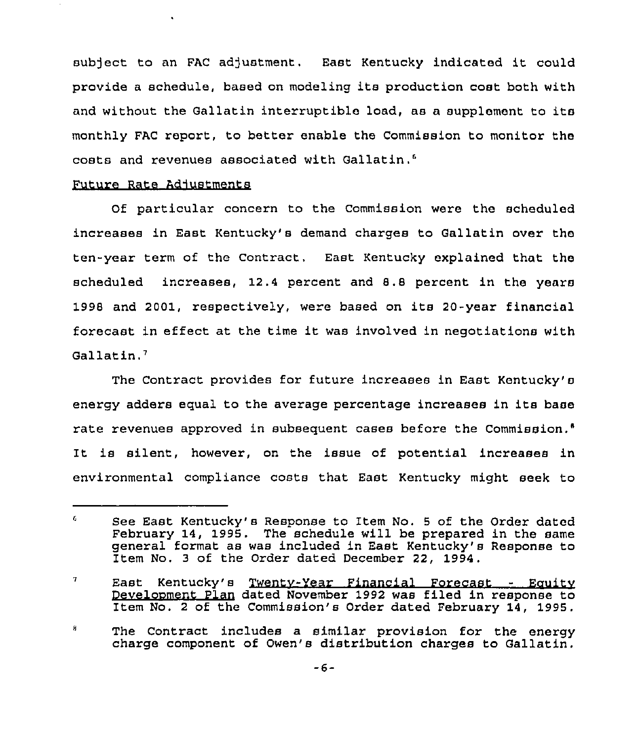sub)ect to an FAC adjustment, East Kentucky indicated it could provide <sup>a</sup> schedule, based on modeling its production cost both with and without the Gallatin interruptible load, as a supplement to its monthly FAC report, to better enable the Commission to monitor the costs and revenues associated with

# Future Rate Adjustments

Of particular concern to the Commission were the scheduled increases in East Kentucky's demand charges to Gallatin over the ten-year term of the Contract. East Kentucky explained that the scheduled increases, 12,4 percent and 8.8 percent in the years 1998 and 2001, respectively, were based on its 20-year financial forecast in effect at the time it was involved in negotiations with Gallatin.'

The Contract provides for future increases in East Kentucky's energy adders equal to the average percentage increases in its base rate revenues approved in subsequent cases before the Commission." It is silent, however, on the issue of potential increases in environmental compliance costs that East Kentucky might seek to

8 The Contract includes a similar provision for the energy charge component of Owen's distribution charges to Gallatin.

<sup>6</sup> See East Kentucky's Response to Item No. <sup>5</sup> of the Order dated February 14, 1995. The schedule will be prepared in the same general format as was included in East Kentucky's Response to Item No. 3 of the Order dated December 22, 1994.

<sup>7</sup> East Kentucky's Twentv-Year Financial Forecast - Eauitv Develooment Plan dated November 1992 was filed in response to Item No. 2 of the Commission's Order dated February 14, 1995.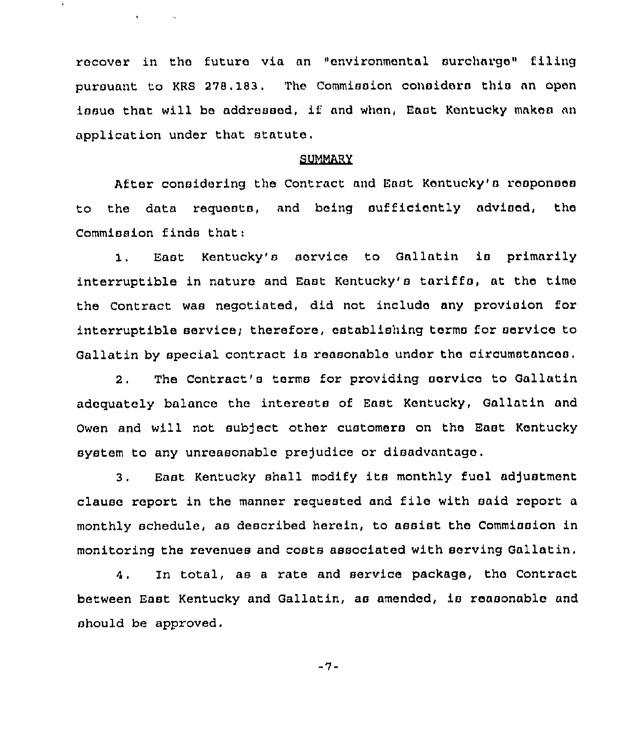recover in the future via an "environmental surcharge" filing pursuant to KRS 278.183. The Commission considers this an open issuo that will be addressed, if and when, East Kentucky makes an application under that statuto.

 $\mathbf{C} = \{ \mathbf{C} \in \mathcal{S} \}$  .

#### SUMMARY

After considering the Contract and East Kentucky'a reoponoes to the data requests, and being oufficiontly advised, the Commission finds that:

1. East Kentucky's service to Gallatin is primarily interruptible in nature and East Kentucky's tariffs, at the time the Contract was negotiated, did not include any provision for interruptible service; therefore, establishing terms for service to Gallatin by special contract is reasonable under tho circumstances,

2. The Contract's terms for providing aorvico to Gallatin adoquately balance the interests of East Kentucky, Gallatin and Owen and will not subject other customers on tho East Kentucky system to any unreasonable prejudice or disadvantago .

3. East Kentucky shall modify its monthly fuol adjustment clause report in the manner requested and file with said report <sup>a</sup> monthly schedule, as described herein, to assist the Commiaoion in monitoring the revenues and costs associated with serving Gallatin.

4. In total, as a rate and service package, the Contract between East Kentucky and Gallatin, as amended, is reasonable and should be approved.

-7-